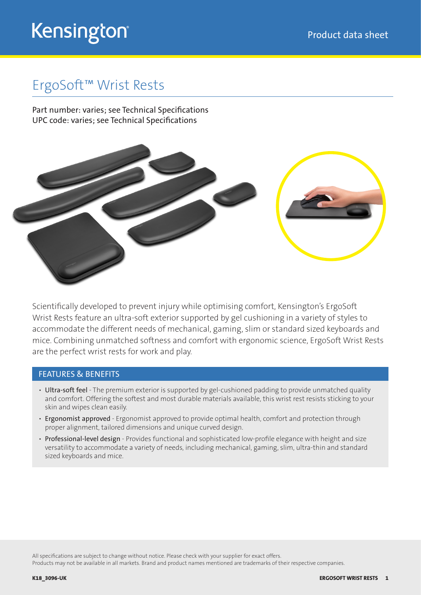## Kensington®

### ErgoSoft™ Wrist Rests

Part number: varies; see Technical Specifications UPC code: varies; see Technical Specifications



Scientifically developed to prevent injury while optimising comfort, Kensington's ErgoSoft Wrist Rests feature an ultra-soft exterior supported by gel cushioning in a variety of styles to accommodate the different needs of mechanical, gaming, slim or standard sized keyboards and mice. Combining unmatched softness and comfort with ergonomic science, ErgoSoft Wrist Rests are the perfect wrist rests for work and play.

#### FEATURES & BENEFITS

- Ultra-soft feel The premium exterior is supported by gel-cushioned padding to provide unmatched quality and comfort. Offering the softest and most durable materials available, this wrist rest resists sticking to your skin and wipes clean easily.
- Ergonomist approved Ergonomist approved to provide optimal health, comfort and protection through proper alignment, tailored dimensions and unique curved design.
- Professional-level design Provides functional and sophisticated low-profile elegance with height and size versatility to accommodate a variety of needs, including mechanical, gaming, slim, ultra-thin and standard sized keyboards and mice.

All specifications are subject to change without notice. Please check with your supplier for exact offers.

Products may not be available in all markets. Brand and product names mentioned are trademarks of their respective companies.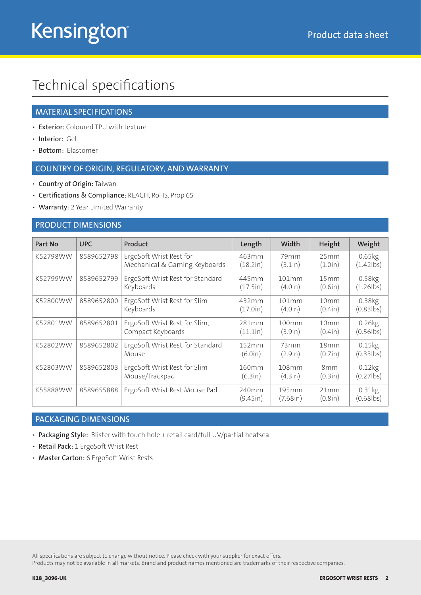## Technical specifications

#### MATERIAL SPECIFICATIONS

- Exterior: Coloured TPU with texture
- Interior: Gel
- Bottom: Elastomer

#### COUNTRY OF ORIGIN, REGULATORY, AND WARRANTY

- Country of Origin: Taiwan
- Certifications & Compliance: REACH, RoHS, Prop 65
- Warranty: 2 Year Limited Warranty

#### PRODUCT DIMENSIONS

| Part No  | <b>UPC</b> | Product                                                  | Length            | Width                       | Height                      | Weight                               |
|----------|------------|----------------------------------------------------------|-------------------|-----------------------------|-----------------------------|--------------------------------------|
| K52798WW | 8589652798 | ErgoSoft Wrist Rest for<br>Mechanical & Gaming Keyboards | 463mm<br>(18.2in) | 79 <sub>mm</sub><br>(3.1in) | 25mm<br>(1.0in)             | 0.65kg<br>$(1.42$ lbs)               |
| K52799WW | 8589652799 | ErgoSoft Wrist Rest for Standard<br>Keyboards            | 445mm<br>(17.5in) | 101mm<br>(4.0in)            | 15mm<br>(0.6in)             | 0.58kg<br>$(1.26$ lbs)               |
| K52800WW | 8589652800 | ErgoSoft Wrist Rest for Slim<br>Keyboards                | 432mm<br>(17.0in) | 101mm<br>(4.0in)            | 10mm<br>(0.4in)             | 0.38kg<br>$(0.83$ lbs)               |
| K52801WW | 8589652801 | ErgoSoft Wrist Rest for Slim,<br>Compact Keyboards       | 281mm<br>(11.1in) | 100mm<br>(3.9in)            | 10 <sub>mm</sub><br>(0.4in) | $0.26$ <sub>kg</sub><br>$(0.56$ lbs) |
| K52802WW | 8589652802 | ErgoSoft Wrist Rest for Standard<br>Mouse                | 152mm<br>(6.0in)  | 73mm<br>(2.9in)             | 18mm<br>(0.7in)             | 0.15kg<br>$(0.33$ lbs)               |
| K52803WW | 8589652803 | ErgoSoft Wrist Rest for Slim<br>Mouse/Trackpad           | 160mm<br>(6.3in)  | 108mm<br>(4.3in)            | 8 <sub>mm</sub><br>(0.3in)  | $0.12$ <sub>kg</sub><br>$(0.27$ lbs) |
| K55888WW | 8589655888 | ErgoSoft Wrist Rest Mouse Pad                            | 240mm<br>(9.45in) | 195mm<br>(7.68in)           | 21mm<br>(0.8in)             | 0.31kg<br>$(0.68$ lbs)               |

#### PACKAGING DIMENSIONS

- Packaging Style: Blister with touch hole + retail card/full UV/partial heatseal
- Retail Pack: 1 ErgoSoft Wrist Rest
- Master Carton: 6 ErgoSoft Wrist Rests

All specifications are subject to change without notice. Please check with your supplier for exact offers.

Products may not be available in all markets. Brand and product names mentioned are trademarks of their respective companies.